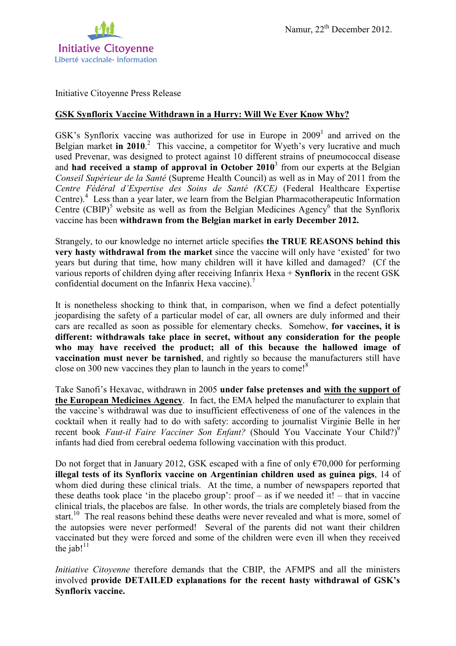

Initiative Citoyenne Press Release

## **GSK Synflorix Vaccine Withdrawn in a Hurry: Will We Ever Know Why?**

GSK's Synflorix vaccine was authorized for use in Europe in  $2009<sup>1</sup>$  and arrived on the Belgian market in 2010.<sup>2</sup> This vaccine, a competitor for Wyeth's very lucrative and much used Prevenar, was designed to protect against 10 different strains of pneumococcal disease and **had received a stamp of approval in October 2010**<sup>3</sup> from our experts at the Belgian *Conseil Supérieur de la Santé* (Supreme Health Council) as well as in May of 2011 from the *Centre Fédéral d'Expertise des Soins de Santé (KCE)* (Federal Healthcare Expertise Centre).<sup>4</sup> Less than a year later, we learn from the Belgian Pharmacotherapeutic Information Centre  $(CBIP)^5$  website as well as from the Belgian Medicines Agency<sup>6</sup> that the Synflorix vaccine has been **withdrawn from the Belgian market in early December 2012.**

Strangely, to our knowledge no internet article specifies **the TRUE REASONS behind this very hasty withdrawal from the market** since the vaccine will only have 'existed' for two years but during that time, how many children will it have killed and damaged? (Cf the various reports of children dying after receiving Infanrix Hexa + **Synflorix** in the recent GSK confidential document on the Infanrix Hexa vaccine).<sup>7</sup>

It is nonetheless shocking to think that, in comparison, when we find a defect potentially jeopardising the safety of a particular model of car, all owners are duly informed and their cars are recalled as soon as possible for elementary checks. Somehow, **for vaccines, it is different: withdrawals take place in secret, without any consideration for the people who may have received the product; all of this because the hallowed image of vaccination must never be tarnished**, and rightly so because the manufacturers still have close on 300 new vaccines they plan to launch in the years to come!<sup>8</sup>

Take Sanofi's Hexavac, withdrawn in 2005 **under false pretenses and with the support of the European Medicines Agency**. In fact, the EMA helped the manufacturer to explain that the vaccine's withdrawal was due to insufficient effectiveness of one of the valences in the cocktail when it really had to do with safety: according to journalist Virginie Belle in her recent book *Faut-il Faire Vacciner Son Enfant?* (Should You Vaccinate Your Child?)<sup>9</sup> infants had died from cerebral oedema following vaccination with this product.

Do not forget that in January 2012, GSK escaped with a fine of only  $\epsilon$ 70,000 for performing **illegal tests of its Synflorix vaccine on Argentinian children used as guinea pigs**, 14 of whom died during these clinical trials. At the time, a number of newspapers reported that these deaths took place 'in the placebo group':  $proof - as if we needed it! - that in vaccine$ clinical trials, the placebos are false. In other words, the trials are completely biased from the start.<sup>10</sup> The real reasons behind these deaths were never revealed and what is more, somel of the autopsies were never performed! Several of the parents did not want their children vaccinated but they were forced and some of the children were even ill when they received the jab! $11$ 

*Initiative Citoyenne* therefore demands that the CBIP, the AFMPS and all the ministers involved **provide DETAILED explanations for the recent hasty withdrawal of GSK's Synflorix vaccine.**